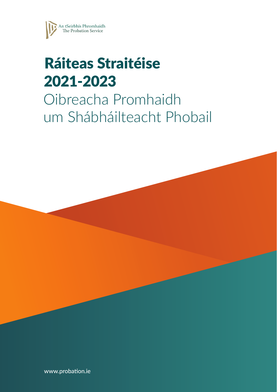

# Ráiteas Straitéise2021-2023

# Oibreacha Promhaidh um Shábháilteacht Phobail

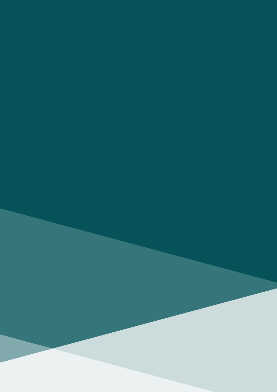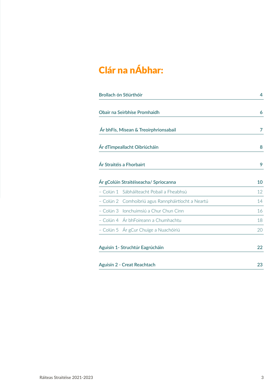## Clár na nÁbhar:

| Brollach ón Stiúrthóir                             |    |
|----------------------------------------------------|----|
| Obair na Seirbhíse Promhaidh                       | 6  |
| Ár bhFís, Misean & Treoirphrionsabail              | 7  |
| Ár dTimpeallacht Oibriúcháin                       | 8  |
| Ár Straitéis a Fhorbairt                           | 9  |
| Ár gColúin Straitéiseacha/ Spriocanna              | 10 |
| Sábháilteacht Pobail a Fheabhsú<br>– Colún 1       | 12 |
| - Colún 2 Comhoibriú agus Rannpháirtíocht a Neartú | 14 |
| - Colún 3 Ionchuimsiú a Chur Chun Cinn             | 16 |
| - Colún 4 Ár bhFoireann a Chumhachtu               | 18 |
| - Colún 5 Ár gCur Chuige a Nuachóiriú              | 20 |
| Aguisín 1- Struchtúr Eagrúcháin                    | 22 |
| Aguisín 2 - Creat Reachtach                        | 23 |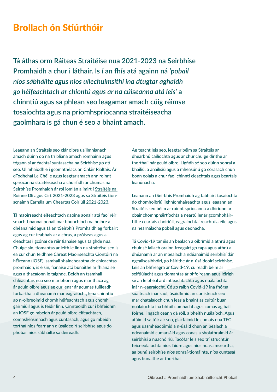### Brollach ón Stiúrthóir

**Tá áthas orm Ráiteas Straitéise nua 2021-2023 na Seirbhíse Promhaidh a chur i láthair. Is í an fhís atá againn ná** *'pobail níos sábháilte agus níos uilechuimsithí ina dtugtar aghaidh go héifeachtach ar chiontú agus ar na cúiseanna atá leis'* **a chinntiú agus sa phlean seo leagamar amach cúig réimse tosaíochta agus na príomhspriocanna straitéiseacha gaolmhara is gá chun é seo a bhaint amach.**

Leagann an Straitéis seo clár oibre uaillmhianach amach dúinn do na trí bliana amach romhainn agus tógann sí ar éachtaí suntasacha na Seirbhíse go dtí seo. Ullmhaíodh é i gcomhthéacs an Chláir Rialtais: Ár dTodhchaí Le Chéile agus leagtar amach ann roinnt spriocanna straitéiseacha a chuirfidh ar chumas na Seirbhíse Promhaidh ár ról iomlán a imirt i [Straitéis na](http://www.justice.ie/ga/JELR/An_Roinn_Dl%C3%AD_agus_Cirt_R%C3%A1iteas_Strait%C3%A9ise_2021_go_2023.pdf/Files/An_Roinn_Dl%C3%AD_agus_Cirt_R%C3%A1iteas_Strait%C3%A9ise_2021_go_2023.pdf
)  [Roinne Dlí agus Cirt 2021-2023](http://www.justice.ie/ga/JELR/An_Roinn_Dl%C3%AD_agus_Cirt_R%C3%A1iteas_Strait%C3%A9ise_2021_go_2023.pdf/Files/An_Roinn_Dl%C3%AD_agus_Cirt_R%C3%A1iteas_Strait%C3%A9ise_2021_go_2023.pdf
) agus sa Straitéis tionscnaimh Earnála um Cheartas Coiriúil 2021-2023.

Tá maoirseacht éifeachtach daoine aonair atá faoi réir smachtbhannaí pobail mar bhunchloch na hoibre a dhéanaimid agus tá an tSeirbhís Promhaidh ag forbairt agus ag cur feabhais ar a córas, a próiseas agus a cleachtas i gcónaí de réir fianaise agus taighde nua. Chuige sin, tiomantas ar leith le linn na straitéise seo is ea cur chun feidhme Chreat Maoirseachta Ciontóirí na hÉireann (IOSF), samhail shaincheaptha de chleachtas promhaidh, is é sin, fianaise atá bunaithe ar fhianaise agus a thacaíonn le taighde. Beidh an tsamhail chleachtais nua seo mar bhonn agus mar thaca ag ár gcuid oibre agus ag cur lenar ár gcumas tuilleadh forbartha a dhéanamh mar eagraíocht, lena chinntiú go n-oibreoimid chomh héifeachtach agus chomh gairmiúil agus is féidir linn. Cinnteoidh cur i bhfeidhm an IOSF go mbeidh ár gcuid oibre éifeachtach, comhsheasmhach agus cuntasach, agus go mbeidh torthaí níos fearr ann d'úsáideoirí seirbhíse agus do phobail níos sábháilte sa deireadh.

Ag teacht leis seo, leagtar béim sa Straitéis ar dhearbhú cáilíochta agus ar chur chuige dírithe ar thorthaí inár gcuid oibre. Ligfidh sé seo dúinn sonraí a bhailiú, a anailísiú agus a mheasúnú go córasach chun bonn eolais a chur faoi chinntí cleachtais agus beartais leanúnacha.

Leanann an tSeirbhís Promhaidh ag tabhairt tosaíochta do chomhoibriú ilghníomhaireachta agus leagann an Straitéis seo béim ar roinnt spriocanna a dhíríonn ar obair chomhpháirtíochta a neartú lenár gcomhpháirtithe ceartais choiriúil, eagraíochtaí reachtúla eile agus na hearnálacha pobail agus deonacha.

Tá Covid-19 tar éis an bealach a oibrímid a athrú agus chuir sé iallach orainn freagairt go tapa agus athrú a dhéanamh ar an mbealach a ndéanaimid seirbhísí dár ngeallsealbhóirí, go háirithe ár n-úsáideoirí seirbhíse. Leis an bhfreagra ar Covid-19, cuireadh béim ar seiftiúlacht agus tiomantas ár bhfoireann agus léirigh sé an leibhéal ard intleachtachta agus nuálaíochta inár n-eagraíocht. Cé go raibh Covid-19 ina fhórsa suaiteach inár saol, úsáidfimid an cur isteach seo mar chatalaíoch chun leas a bhaint as cultúr buan nuálaíochta ina bhfuil cumhacht agus cumas ag baill foirne, i ngach ceann dá róil, a bheith nuálaíoch. Agus atáimid sa tóir air seo, glacfaimid le cumais nua TFC agus uasmhéadóimid a n-úsáid chun an bealach a ndéanaimid cumarsáid agus conas a sholáthraímid ár seirbhísí a nuachóiriú. Tacófar leis seo trí struchtúr teicneolaíochta níos láidre agus níos nua-aimseartha, ag bunú seirbhíse níos sonraí-tiomáinte, níos cuntasaí agus bunaithe ar thorthaí.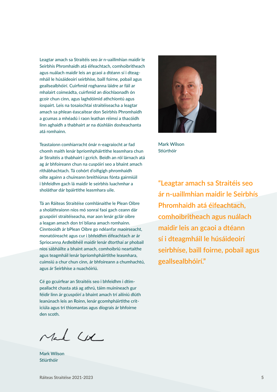Leagtar amach sa Straitéis seo ár n-uaillmhian maidir leagtar amach an Straitéis seo ár n-uaillmhian maidir leag<br>geallsealbhóirí. Cuirímid reis an gcaol a dtéann sí i dteag-mháil le búsáteoir freichbíse, baill rónnac, poba Seirbhís Phromhaidh atá éifeachtach, comhoibritheach agus nuálach maidir leis an gcaoi a dtéann sí i dteagmháil le húsáideoirí seirbhíse, baill foirne, pobail agus geallsealbhóirí. Cuirfimid roghanna láidre ar fáil ar mhalairt coimeádta, cuirfimid an díochlaonadh ón gcoir chun cinn, agus laghdóimid athchiontú agus íospairt. Leis na tosaíochtaí straitéiseacha a leagtar amach sa phlean éascaítear don Seirbhís Phromhaidh a gcumas a mhéadú i raon leathan réimsí a thacóidh linn aghaidh a thabhairt ar na dúshláin dosheachanta atá romhainn.

Teastaíonn comhiarracht ónár n-eagraíocht ar fad chomh maith lenár bpríomhpháirtithe leasmhara chun ár Straitéis a thabhairt i gcrích. Beidh an ról lárnach atá ag ár bhfoireann chun na cuspóirí seo a bhaint amach ríthábhachtach. Tá cohórt d'oifigigh phromhaidh oilte againn a chuireann breithiúnas fónta gairmiúil i bhfeidhm gach lá maidir le seirbhís luachmhar a sholáthar dár bpáirtithe leasmhara uile.

Tá an Ráiteas Straitéise comhlánaithe le Plean Oibre a sholáthraíonn níos mó sonraí faoi gach ceann dár gcuspóirí straitéiseacha, mar aon lenár gclár oibre a leagan amach don trí bliana amach romhainn. Cinnteoidh ár bPlean Oibre go ndéanfar maoirseacht, monatóireacht agus cur i bhfeidhm éifeachtach ar ár Spriocanna Ardleibhéil maidir lenár dtorthaí ar phobail níos sábháilte a bhaint amach, comhoibriú neartaithe agus teagmháil lenár bpríomhpháirtithe leasmhara, cuimsiú a chur chun cinn, ár bhfoireann a chumhachtú, agus ár Seirbhíse a nuachóiriú.

Cé go gcuirfear an Straitéis seo i bhfeidhm i dtimpeallacht chasta atá ag athrú, táim muiníneach gur féidir linn ár gcuspóirí a bhaint amach trí ailíniú dlúth leanúnach leis an Roinn, lenár gcomhpháirtithe criticiúla agus trí thiomantas agus díograis ár bhfoirne den scoth.

Mark Wilson Stiúrthóir



Mark Wilson Stiúrthóir

**"Leagtar amach sa Straitéis seo ár n-uaillmhian maidir le Seirbhís Phromhaidh atá éifeachtach, comhoibritheach agus nuálach maidir leis an gcaoi a dtéann sí i dteagmháil le húsáideoirí seirbhíse, baill foirne, pobail agus geallsealbhóirí."**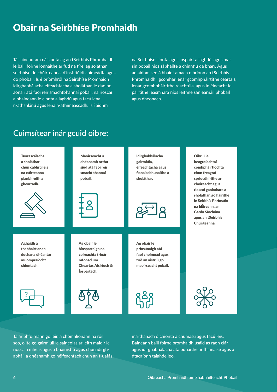## Obair na Seirbhíse Promhaidh

Tá sainchúram náisiúnta ag an tSeirbhís Phromhaidh, le baill foirne lonnaithe ar fud na tíre, ag soláthar seirbhíse do chúirteanna, d'institiúidí coimeádta agus do phobail. Is é príomhról na Seirbhíse Promhaidh idirghabhálacha éifeachtacha a sholáthar, le daoine aonair atá faoi réir smachtbhannaí pobail, na rioscaí a bhaineann le cionta a laghdú agus tacú lena n-athshlánú agus lena n-athimeascadh. Is í aidhm

na Seirbhíse cionta agus íospairt a laghdú, agus mar sin pobail níos sábháilte a chinntiú dá bharr. Agus an aidhm seo á bhaint amach oibríonn an tSeirbhís Phromhaidh i gcomhar lenár gcomhpháirtithe ceartais, lenár gcomhpháirtithe reachtúla, agus in éineacht le páirtithe leasmhara níos leithne san earnáil phobail agus dheonach.

### **Cuimsítear inár gcuid oibre:**



Tá ár bhfoireann go léir, a chomhlíonann na róil seo, oilte go gairmiúil le saineolas ar leith maidir le riosca a mheas agus a bhainistiú agus chun idirghabháil a dhéanamh go héifeachtach chun an t-uafás marthanach ó chionta a chumasú agus tacú leis. Baineann baill foirne promhaidh úsáid as raon clár agus idirghabhálacha atá bunaithe ar fhianaise agus a dtacaíonn taighde leo.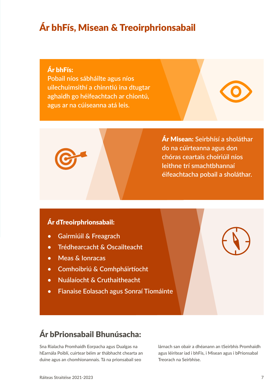## Ár bhFís, Misean & Treoirphrionsabail

### Ár bhFís:

**Pobail níos sábháilte agus níos uilechuimsithí a chinntiú ina dtugtar aghaidh go héifeachtach ar chiontú, agus ar na cúiseanna atá leis.**



Ár Misean: **Seirbhísí a sholáthar do na cúirteanna agus don chóras ceartais choiriúil níos leithne trí smachtbhannaí éifeachtacha pobail a sholáthar.** 

### Ár dTreoirphrionsabail:

- **• Gairmiúil & Freagrach**
- **• Trédhearcacht & Oscailteacht**
- **• Meas & Ionracas**
- **• Comhoibriú & Comhpháirtíocht**
- **• Nuálaíocht & Cruthaitheacht**
- **• Fianaise Eolasach agus Sonraí Tiomáinte**



## Ár bPrionsabail Bhunúsacha:

Sna Rialacha Promhaidh Eorpacha agus Dualgas na hEarnála Poiblí, cuirtear béim ar thábhacht chearta an duine agus an chomhionannais. Tá na prionsabail seo

lárnach san obair a dhéanann an tSeirbhís Promhaidh agus léirítear iad i bhFís, i Misean agus i bPrionsabal Treorach na Seirbhíse.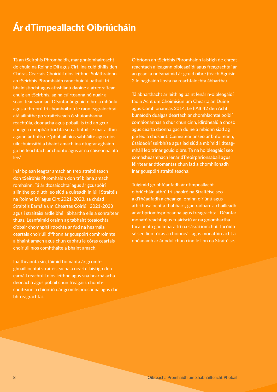## Ár dTimpeallacht Oibriúcháin

Tá an tSeirbhís Phromhaidh, mar ghníomhaireacht de chuid na Roinne Dlí agus Cirt, ina cuid dhílis den Chóras Ceartais Choiriúil níos leithne. Soláthraíonn an tSeirbhís Phromhaidh rannchuidiú uathúil trí bhainistíocht agus athshlánú daoine a atreoraítear chuig an tSeirbhís, ag na cúirteanna nó nuair a scaoiltear saor iad. Déantar ár gcuid oibre a mhúnlú agus a threorú trí chomhoibriú le raon eagraíochtaí atá ailínithe go straitéiseach ó shuíomhanna reachtúla, deonacha agus pobail. Is tríd an gcur chuige comhpháirtíochta seo a bhfuil sé mar aidhm againn ár bhfís de 'phobail níos sábháilte agus níos uilechuimsithí a bhaint amach ina dtugtar aghaidh go héifeachtach ar chiontú agus ar na cúiseanna atá leis'.

Inár bplean leagtar amach an treo straitéiseach don tSeirbhís Phromhaidh don trí bliana amach romhainn. Tá ár dtosaíochtaí agus ár gcuspóirí ailínithe go dlúth leo siúd a cuireadh in iúl i Straitéis na Roinne Dlí agus Cirt 2021-2023, sa chéad Straitéis Earnála um Cheartas Coiriúil 2021-2023 agus i straitéisí ardleibhéil ábhartha eile a sonraítear thuas. Leanfaimid orainn ag tabhairt tosaíochta d'obair chomhpháirtíochta ar fud na hearnála ceartais choiriúil d'fhonn ár gcuspóirí comhroinnte a bhaint amach agus chun cabhrú le córas ceartais choiriúil níos comhtháite a bhaint amach.

Ina theannta sin, táimid tiomanta ár gcomhghuaillíochtaí straitéiseacha a neartú laistigh den earnáil reachtúil níos leithne agus sna hearnálacha deonacha agus pobail chun freagairt chomhchoiteann a chinntiú dár gcomhspriocanna agus dár bhfreagrachtaí.

Oibríonn an tSeirbhís Phromhaidh laistigh de chreat reachtach a leagann oibleagáidí agus freagrachtaí ar an gcaoi a ndéanaimid ár gcuid oibre (féach Aguisín 2 le haghaidh liosta na reachtaíochta ábhartha).

Tá ábharthacht ar leith ag baint lenár n-oibleagáidí faoin Acht um Choimisiún um Chearta an Duine agus Comhionannas 2014. Le hAlt 42 den Acht bunaíodh dualgas dearfach ar chomhlachtaí poiblí comhionannas a chur chun cinn, idirdhealú a chosc agus cearta daonna gach duine a mbíonn siad ag plé leo a chosaint. Cuimsítear anseo ár bhfoireann, úsáideoirí seirbhíse agus iad siúd a mbímid i dteagmháil leo trínár gcuid oibre. Tá na hoibleagáidí seo comhsheasmhach lenár dTreoirphrionsabail agus léirítear ár dtiomantas chun iad a chomhlíonadh inár gcuspóirí straitéiseacha.

Tuigimid go bhféadfadh ár dtimpeallacht oibriúcháin athrú trí shaolré na Straitéise seo a d'fhéadfadh a cheangal orainn oiriúnú agus ath-thosaíocht a thabhairt, gan radharc a chailleadh ar ár bpríomhspriocanna agus freagrachtaí. Déanfar monatóireacht agus tuairisciú ar na gníomhartha tacaíochta gaolmhara trí na sásraí iomchuí. Tacóidh sé seo linn fócas a choinneáil agus monatóireacht a dhéanamh ar ár ndul chun cinn le linn na Straitéise.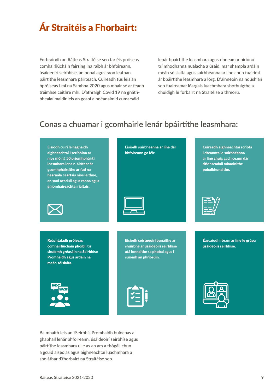## Ár Straitéis a Fhorbairt:

Forbraíodh an Ráiteas Straitéise seo tar éis próiseas comhairliúcháin fairsing ina raibh ár bhfoireann, úsáideoirí seirbhíse, an pobal agus raon leathan páirtithe leasmhara páirteach. Cuireadh tús leis an bpróiseas i mí na Samhna 2020 agus mhair sé ar feadh tréimhse ceithre mhí. D'athraigh Covid 19 na gnáthbhealaí maidir leis an gcaoi a ndéanaimid cumarsáid

lenár bpáirtithe leasmhara agus rinneamar oiriúnú trí mhodhanna nuálacha a úsáid, mar shampla ardáin meán sóisialta agus suirbhéanna ar líne chun tuairimí ár bpáirtithe leasmhara a lorg. D'ainneoin na ndúshlán seo fuaireamar léargais luachmhara shothuigthe a chuidigh le forbairt na Straitéise a threorú.

### **Conas a chuamar i gcomhairle lenár bpáirtithe leasmhara:**



Ba mhaith leis an tSeirbhís Promhaidh buíochas a ghabháil lenár bhfoireann, úsáideoirí seirbhíse agus páirtithe leasmhara uile as an am a thógáil chun a gcuid aiseolas agus aighneachtaí luachmhara a sholáthar d'fhorbairt na Straitéise seo.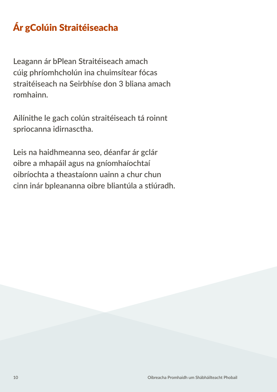## Ár gColúin Straitéiseacha

**Leagann ár bPlean Straitéiseach amach cúig phríomhcholún ina chuimsítear fócas straitéiseach na Seirbhíse don 3 bliana amach romhainn.** 

**Ailínithe le gach colún straitéiseach tá roinnt spriocanna idirnasctha.** 

**Leis na haidhmeanna seo, déanfar ár gclár oibre a mhapáil agus na gníomhaíochtaí oibríochta a theastaíonn uainn a chur chun cinn inár bpleananna oibre bliantúla a stiúradh.**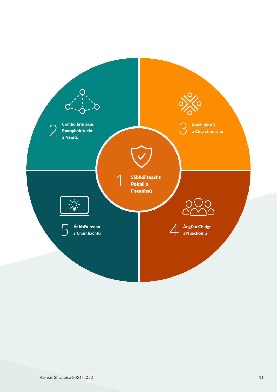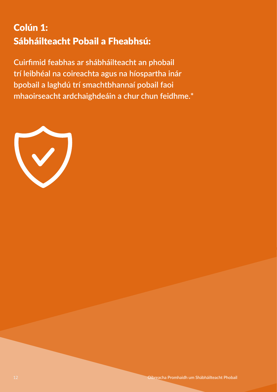## Colún 1: Sábháilteacht Pobail a Fheabhsú:

**Cuirfimid feabhas ar shábháilteacht an phobail trí leibhéal na coireachta agus na híospartha inár bpobail a laghdú trí smachtbhannaí pobail faoi mhaoirseacht ardchaighdeáin a chur chun feidhme.\***

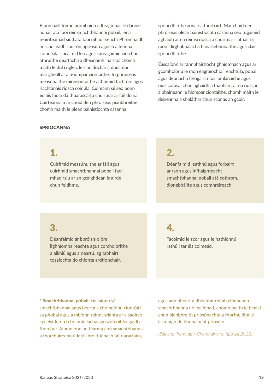Bíonn baill foirne promhaidh i dteagmháil le daoine aonair atá faoi réir smachtbhannaí pobail, lena n-áirítear iad siúd atá faoi mhaoirseacht Phromhaidh ar scaoileadh saor ón bpríosún agus ó áiteanna coinneála. Tacaímid leo agus spreagaimid iad chun athruithe dearfacha a dhéanamh ina saol chomh maith le dul i ngleic leis an dochar a dhéantar mar gheall ar a n-iompar ciontaithe. Trí phróiseas measúnaithe mionsonraithe aithnímid fachtóirí agus riachtanais riosca coiriúla. Cuireann sé seo bonn eolais faoin dá thuarascáil a chuirtear ar fáil do na Cúirteanna mar chuid den phróiseas pianbhreithe, chomh maith le plean bainistíochta cásanna

### SPRIOCANNA

## 1.

Cuirfimid measúnuithe ar fáil agus cuirfimid smachtbhannaí pobail faoi mhaoirsiú ar an gcaighdeán is airde chun feidhme.

### spriocdhírithe aonair a fhorbairt. Mar chuid den phróiseas plean bainistíochta cásanna seo tugaimid aghaidh ar na réimsí riosca a chuirtear i láthair trí raon idirghabhálacha fianaisebhunaithe agus cláir spriocdhírithe.

Éascaíonn ár rannpháirtíocht ghníomhach agus ár gcomhoibriú le raon eagraíochtaí reachtúla, pobail agus deonacha freagairt níos iomlánaíche agus níos córasaí chun aghaidh a thabhairt ar na rioscaí a bhaineann le hiompar ciontaithe, chomh maith le deiseanna a sholáthar chun scor as an gcoir.

## 2.

Déanfaimid leathnú agus forbairt ar raon agus infhaighteacht smachtbhannaí pobail atá cothrom, diongbháilte agus comhréireach.

## 3.

Déanfaimid ár bpróisis oibre ilghníomhaireachta agus comhoibrithe a ailíniú agus a neartú, ag tabhairt tosaíochta do chionta ardtionchair.

### 4.

Tacóimid le scor agus le hathlonnú rathúil tar éis coimeád.

#### \* Smachtbhannaí pobail: ciallaíonn sé

smachtbhannaí agus bearta a choinníonn ciontóirí sa phobal agus a mbíonn roinnt srianta ar a saoirse i gceist leo trí choinníollacha agus/nó oibleagáidí a fhorchur. Ainmníonn an téarma aon smachtbhanna a fhorchuireann údarás breithiúnach nó riaracháin,

agus aon bheart a dhéantar roimh chinneadh smachtbhanna nó ina ionad, chomh maith le bealaí chun pianbhreith príosúnachta a fhorfheidhmiú lasmuigh de bhunaíocht príosúin.

*Rialacha Promhaidh Chomhairle na hEorpa 2010.*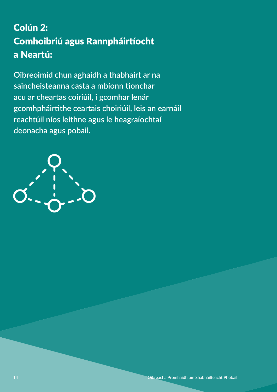## Colún 2: Comhoibriú agus Rannpháirtíocht a Neartú:

**Oibreoimid chun aghaidh a thabhairt ar na saincheisteanna casta a mbíonn tionchar acu ar cheartas coiriúil, i gcomhar lenár gcomhpháirtithe ceartais choiriúil, leis an earnáil reachtúil níos leithne agus le heagraíochtaí deonacha agus pobail.**

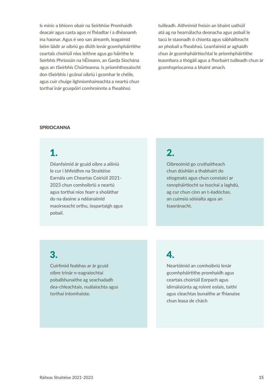Is minic a bhíonn obair na Seirbhíse Promhaidh deacair agus casta agus ní fhéadtar í a dhéanamh ina haonar. Agus é seo san áireamh, leagaimid béim láidir ar oibriú go dlúth lenár gcomhpháirtithe ceartais choiriúil níos leithne agus go háirithe le Seirbhís Phríosúin na hÉireann, an Garda Síochána agus an tSeirbhís Chúirteanna. Is príomhthosaíocht don tSeirbhís i gcónaí oibriú i gcomhar le chéile, agus cuir chuige ilghníomhaireachta a neartú chun torthaí inár gcuspóirí comhroinnte a fheabhsú

tuilleadh. Aithnímid freisin an bhaint uathúil atá ag na hearnálacha deonacha agus pobail le tacú le staonadh ó chionta agus sábháilteacht an phobail a fheabhsú. Leanfaimid ar aghaidh chun ár gcomhpháirtíochtaí le príomhpháirtithe leasmhara a thógáil agus a fhorbairt tuilleadh chun ár gcomhspriocanna a bhaint amach.

#### SPRIOCANNA

## 1.

Déanfaimid ár gcuid oibre a ailíniú le cur i bhfeidhm na Straitéise Earnála um Cheartas Coiriúil 2021- 2023 chun comhoibriú a neartú agus torthaí níos fearr a sholáthar do na daoine a ndéanaimid maoirseacht orthu, íospartaigh agus pobail.

### 2.

Oibreoimid go cruthaitheach chun dúshlán a thabhairt do stiogmatú agus chun constaicí ar rannpháirtíocht sa tsochaí a laghdú, ag cur chun cinn an t-éadóchas, an cuimsiú sóisialta agus an tsaoránacht.

## 3.

Cuirfimid feabhas ar ár gcuid oibre trínár n-eagraíochtaí pobalbhunaithe ag seachadadh dea-chleachtais, nuálaíochta agus torthaí intomhaiste.

## 4.

Neartóimid an comhoibriú lenár gcomhpháirtithe promhaidh agus ceartais choiriúil Eorpach agus idirnáisiúnta ag roinnt eolais, taithí agus cleachtas bunaithe ar fhianaise chun leasa de chách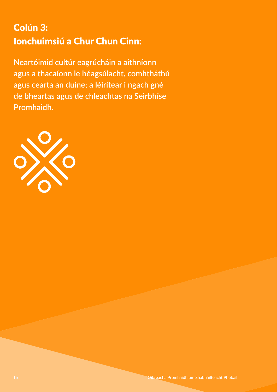## Colún 3: Ionchuimsiú a Chur Chun Cinn:

**Neartóimid cultúr eagrúcháin a aithníonn agus a thacaíonn le héagsúlacht, comhtháthú agus cearta an duine; a léirítear i ngach gné de bheartas agus de chleachtas na Seirbhíse Promhaidh.**

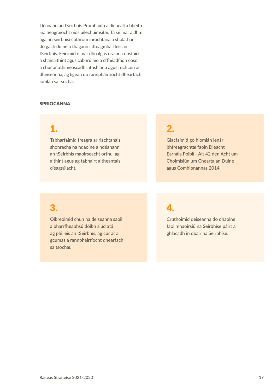Déanann an tSeirbhís Promhaidh a dícheall a bheith ina heagraíocht níos uilechuimsithí. Tá sé mar aidhm againn seirbhísí cothrom inrochtana a sholáthar do gach duine a thagann i dteagmháil leis an tSeirbhís. Feicimid é mar dhualgas orainn constaicí a shainaithint agus cabhrú leo a d'fhéadfadh cosc a chur ar athimeascadh, athshlánú agus rochtain ar dheiseanna, ag ligean do rannpháirtíocht dhearfach iomlán sa tsochaí.

#### SPRIOCANNA

### 1.

Tabharfaimid freagra ar riachtanais shonracha na ndaoine a ndéanann an tSeirbhís maoirseacht orthu, ag aithint agus ag tabhairt aitheantais d'éagsúlacht.

### 2.

Glacfaimid go hiomlán lenár bhfreagrachtaí faoin Dleacht Earnála Poiblí - Alt 42 den Acht um Choimisiún um Chearta an Duine agus Comhionannas 2014.

## 3.

Oibreoimid chun na deiseanna saoil a bharrfheabhsú dóibh siúd atá ag plé leis an tSeirbhís, ag cur ar a gcumas a rannpháirtíocht dhearfach sa tsochaí.

## 4.

Cruthóimid deiseanna do dhaoine faoi mhaoirsiú na Seirbhíse páirt a ghlacadh in obair na Seirbhíse.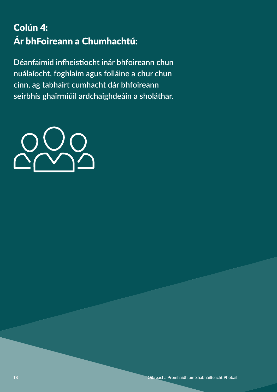## Colún 4: Ár bhFoireann a Chumhachtú:

**Déanfaimid infheistíocht inár bhfoireann chun nuálaíocht, foghlaim agus folláine a chur chun cinn, ag tabhairt cumhacht dár bhfoireann seirbhís ghairmiúil ardchaighdeáin a sholáthar.**

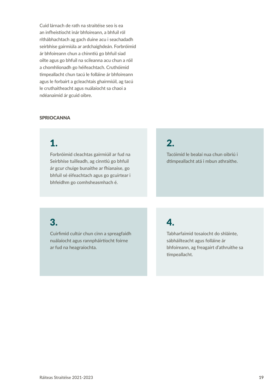Cuid lárnach de rath na straitéise seo is ea an infheistíocht inár bhfoireann, a bhfuil ról ríthábhachtach ag gach duine acu i seachadadh seirbhíse gairmiúla ar ardchaighdeán. Forbróimid ár bhfoireann chun a chinntiú go bhfuil siad oilte agus go bhfuil na scileanna acu chun a róil a chomhlíonadh go héifeachtach. Cruthóimid timpeallacht chun tacú le folláine ár bhfoireann agus le forbairt a gcleachtais ghairmiúil, ag tacú le cruthaitheacht agus nuálaíocht sa chaoi a ndéanaimid ár gcuid oibre.

### **SPRIOCANNA**

## 1.

Forbróimid cleachtas gairmiúil ar fud na Seirbhíse tuilleadh, ag cinntiú go bhfuil ár gcur chuige bunaithe ar fhianaise, go bhfuil sé éifeachtach agus go gcuirtear i bhfeidhm go comhsheasmhach é.

### 2.

Tacóimid le bealaí nua chun oibriú i dtimpeallacht atá i mbun athraithe.

## 3.

Cuirfimid cultúr chun cinn a spreagfaidh nuálaíocht agus rannpháirtíocht foirne ar fud na heagraíochta.

## 4.

Tabharfaimid tosaíocht do shláinte, sábháilteacht agus folláine ár bhfoireann, ag freagairt d'athruithe sa timpeallacht.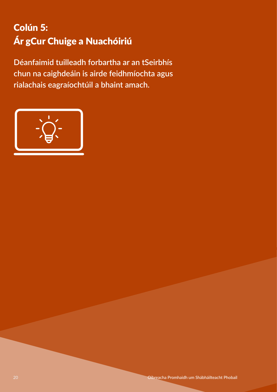## Colún 5: Ár gCur Chuige a Nuachóiriú

**Déanfaimid tuilleadh forbartha ar an tSeirbhís chun na caighdeáin is airde feidhmíochta agus rialachais eagraíochtúil a bhaint amach.**

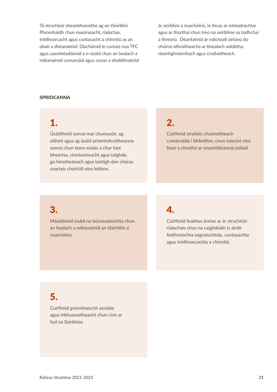Tá struchtúir sheanbhunaithe ag an tSeirbhís Phromhaidh chun maoirseacht, rialachas, trédhearcacht agus cuntasacht a chinntiú as an obair a dhéanaimid. Glacfaimid le cumais nua TFC agus uasmhéadóimid a n-úsáid chun an bealach a ndéanaimid cumarsáid agus conas a sholáthraímid ár seirbhísí a nuachóiriú, le fócas ar mhéadrachtaí agus ar thorthaí chun treo na seirbhíse sa todhchaí a threorú. Déanfaimid ár ndícheall oiriúnú do chúinsí athraitheacha ar bhealach solúbtha, réamhghníomhach agus cruthaitheach.

#### **SPRIOCANNA**

### 1.

Úsáidfimid sonraí mar chumasóir, ag aithint agus ag úsáid príomhshraitheanna sonraí chun bonn eolais a chur faoi bheartas, cinnteoireacht agus taighde, go hinmheánach agus laistigh den chóras ceartais choiriúil níos leithne.

### 2.

Cuirfimid straitéis chuimsitheach cumarsáide i bhfeidhm, chun tuiscint níos fearr a chruthú ar smachtbhannaí pobail.

## 3.

Méadóimid úsáid na teicneolaíochta chun an bealach a ndéanaimid an tSeirbhís a nuachóiriú.

## 4.

Cuirfimid feabhas breise ar ár struchtúir rialachais chun na caighdeáin is airde feidhmíochta eagraíochtúla, cuntasachta agus trédhearcachta a chinntiú.

## 5.

Cuirfimid gníomhaíocht aeráide agus inbhuanaitheacht chun cinn ar fud na Seirbhíse.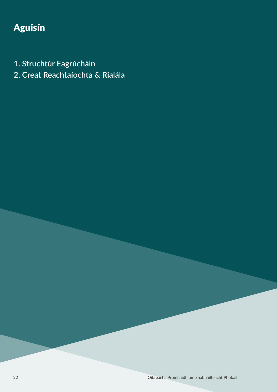## Aguisín

- **1. Struchtúr Eagrúcháin**
- **2. Creat Reachtaíochta & Rialála**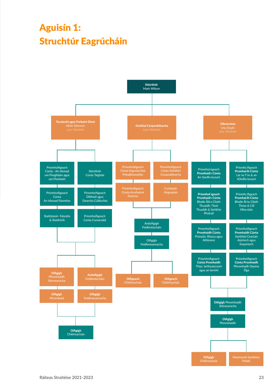## Aguisín 1: Struchtúr Eagrúcháin

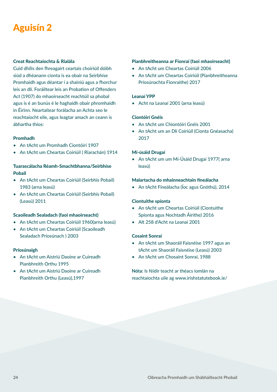## Aguisín 2

### Creat Reachtaíochta & Rialála

Cuid dhílis den fhreagairt ceartais choiriúil dóibh siúd a dhéanann cionta is ea obair na Seirbhíse Promhaidh agus déantar í a shainiú agus a fhorchur leis an dlí. Foráiltear leis an Probation of Offenders Act (1907) do mhaoirseacht reachtúil sa phobal agus is é an bunús é le haghaidh obair phromhaidh in Éirinn. Neartaítear forálacha an Achta seo le reachtaíocht eile, agus leagtar amach an ceann is ábhartha thíos:

### Promhadh

- An tAcht um Promhadh Ciontóirí 1907
- An tAcht um Cheartas Coiriúil ( Riarachán) 1914

### Tuarascálacha Réamh-Smachtbhanna/Seirbhíse Pobail

- An tAcht um Cheartas Coiriúil (Seirbhís Pobail) 1983 (arna leasú)
- An tAcht um Cheartas Coiriúil (Seirbhís Pobail) (Leasú) 2011

### Scaoileadh Sealadach (faoi mhaoirseacht)

- An tAcht um Cheartas Coiriúil 1960(arna leasú)
- An tAcht um Cheartas Coiriúil (Scaoileadh Sealadach Príosúnach ) 2003

### Príosúnaigh

- An tAcht um Aistriú Daoine ar Cuireadh Pianbhreith Orthu 1995
- An tAcht um Aistriú Daoine ar Cuireadh Pianbhreith Orthu (Leasú),1997

#### Pianbhreitheanna ar Fionraí (faoi mhaoirseacht)

- An tAcht um Cheartas Coiriúil 2006
- An tAcht um Cheartas Coiriúil (Pianbhreitheanna Príosúnachta Fionraithe) 2017

#### Leanaí YPP

• Acht na Leanaí 2001 (arna leasú)

#### Ciontóirí Gnéis

- An tAcht um Chiontóirí Gnéis 2001
- An tAcht um an Dlí Coiriúil (Cionta Gnéasacha) 2017

#### Mí-úsáid Drugaí

• An tAcht um um Mí-Úsáid Drugaí 1977( arna leasú)

#### Malartacha do mhainneachtain fíneálacha

• An tAcht Fíneálacha (Íoc agus Gnóthú), 2014

### Ciontuithe spíonta

- An tAcht um Cheartas Coiriúil (Ciontuithe Spíonta agus Nochtadh Áirithe) 2016
- Alt 258 d'Acht na Leanaí 2001

### Cosaint Sonraí

- An tAcht um Shaoráil Faisnéise 1997 agus an tAcht um Shaoráil Faisnéise (Leasú) 2003
- An tAcht um Chosaint Sonraí, 1988

**Nóta:** Is féidir teacht ar théacs iomlán na reachtaíochta uile ag www.irishstatutebook.ie/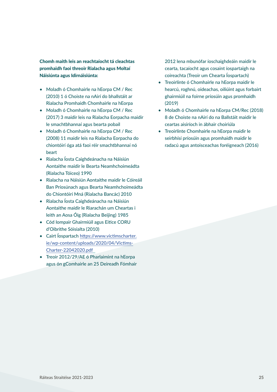### Chomh maith leis an reachtaíocht tá cleachtas promhaidh faoi threoir Rialacha agus Moltaí Náisiúnta agus Idirnáisiúnta:

- Moladh ó Chomhairle na hEorpa CM / Rec (2010) 1 ó Choiste na nAirí do bhallstáit ar Rialacha Promhaidh Chomhairle na hEorpa
- Moladh ó Chomhairle na hEorpa CM / Rec (2017) 3 maidir leis na Rialacha Eorpacha maidir le smachtbhannaí agus bearta pobail
- Moladh ó Chomhairle na hEorpa CM / Rec (2008) 11 maidir leis na Rialacha Eorpacha do chiontóirí óga atá faoi réir smachtbhannaí nó beart
- Rialacha Íosta Caighdeánacha na Náisiún Aontaithe maidir le Bearta Neamhchoimeádta (Rialacha Tóiceo) 1990
- Rialacha na Náisiún Aontaithe maidir le Cóireáil Ban Príosúnach agus Bearta Neamhchoimeádta do Chiontóirí Mná (Rialacha Bancác) 2010
- Rialacha Íosta Caighdeánacha na Náisiún Aontaithe maidir le Riarachán um Cheartas i leith an Aosa Óig (Rialacha Beijing) 1985
- Cód Iompair Ghairmiúil agus Eitice CORU d'Oibrithe Sóisialta (2010)
- Cairt Íospartach [https://www.victimscharter.](https://www.victimscharter.ie/wp-content/uploads/2020/04/Victims-Charter-22042020.pdf) [ie/wp-content/uploads/2020/04/Victims-](https://www.victimscharter.ie/wp-content/uploads/2020/04/Victims-Charter-22042020.pdf)[Charter-22042020.pdf](https://www.victimscharter.ie/wp-content/uploads/2020/04/Victims-Charter-22042020.pdf)
- Treoir 2012/29/AE ó Pharlaimint na hEorpa agus ón gComhairle an 25 Deireadh Fómhair

2012 lena mbunófar íoschaighdeáin maidir le cearta, tacaíocht agus cosaint íospartaigh na coireachta (Treoir um Chearta Íospartach)

- Treoirlínte ó Chomhairle na hEorpa maidir le hearcú, roghnú, oideachas, oiliúint agus forbairt ghairmiúil na foirne príosúin agus promhaidh (2019)
- Moladh ó Chomhairle na hEorpa CM/Rec (2018) 8 de Choiste na nAirí do na Ballstáit maidir le ceartas aisiríoch in ábhair choiriúla
- Treoirlínte Chomhairle na hEorpa maidir le seirbhísí príosúin agus promhaidh maidir le radacú agus antoisceachas foréigneach (2016)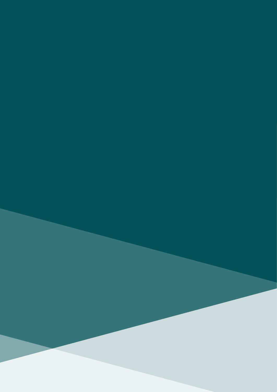